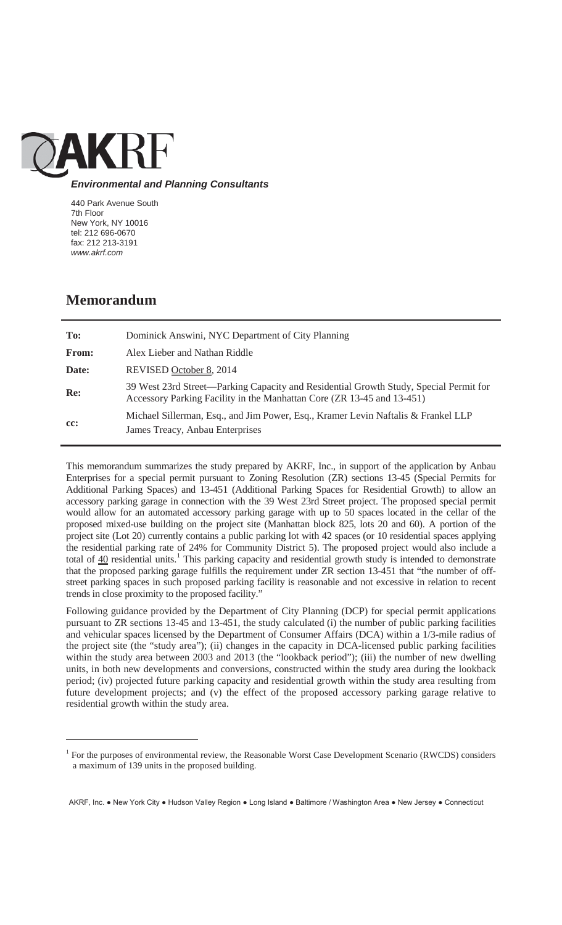

## *Environmental and Planning Consultants*

440 Park Avenue South 7th Floor New York, NY 10016 tel: 212 696-0670 fax: 212 213-3191 *www.akrf.com*

# **Memorandum**

 $\overline{a}$ 

| To:   | Dominick Answini, NYC Department of City Planning                                                                                                               |
|-------|-----------------------------------------------------------------------------------------------------------------------------------------------------------------|
| From: | Alex Lieber and Nathan Riddle                                                                                                                                   |
| Date: | REVISED October 8, 2014                                                                                                                                         |
| Re:   | 39 West 23rd Street—Parking Capacity and Residential Growth Study, Special Permit for<br>Accessory Parking Facility in the Manhattan Core (ZR 13-45 and 13-451) |
| cc:   | Michael Sillerman, Esq., and Jim Power, Esq., Kramer Levin Naftalis & Frankel LLP                                                                               |
|       | James Treacy, Anbau Enterprises                                                                                                                                 |

This memorandum summarizes the study prepared by AKRF, Inc., in support of the application by Anbau Enterprises for a special permit pursuant to Zoning Resolution (ZR) sections 13-45 (Special Permits for Additional Parking Spaces) and 13-451 (Additional Parking Spaces for Residential Growth) to allow an accessory parking garage in connection with the 39 West 23rd Street project. The proposed special permit would allow for an automated accessory parking garage with up to 50 spaces located in the cellar of the proposed mixed-use building on the project site (Manhattan block 825, lots 20 and 60). A portion of the project site (Lot 20) currently contains a public parking lot with 42 spaces (or 10 residential spaces applying the residential parking rate of 24% for Community District 5). The proposed project would also include a total of  $40$  residential units.<sup>1</sup> This parking capacity and residential growth study is intended to demonstrate that the proposed parking garage fulfills the requirement under ZR section 13-451 that "the number of offstreet parking spaces in such proposed parking facility is reasonable and not excessive in relation to recent trends in close proximity to the proposed facility."

Following guidance provided by the Department of City Planning (DCP) for special permit applications pursuant to ZR sections 13-45 and 13-451, the study calculated (i) the number of public parking facilities and vehicular spaces licensed by the Department of Consumer Affairs (DCA) within a 1/3-mile radius of the project site (the "study area"); (ii) changes in the capacity in DCA-licensed public parking facilities within the study area between 2003 and 2013 (the "lookback period"); (iii) the number of new dwelling units, in both new developments and conversions, constructed within the study area during the lookback period; (iv) projected future parking capacity and residential growth within the study area resulting from future development projects; and (v) the effect of the proposed accessory parking garage relative to residential growth within the study area.

AKRF, Inc. . New York City . Hudson Valley Region . Long Island . Baltimore / Washington Area . New Jersey . Connecticut

<sup>&</sup>lt;sup>1</sup> For the purposes of environmental review, the Reasonable Worst Case Development Scenario (RWCDS) considers a maximum of 139 units in the proposed building.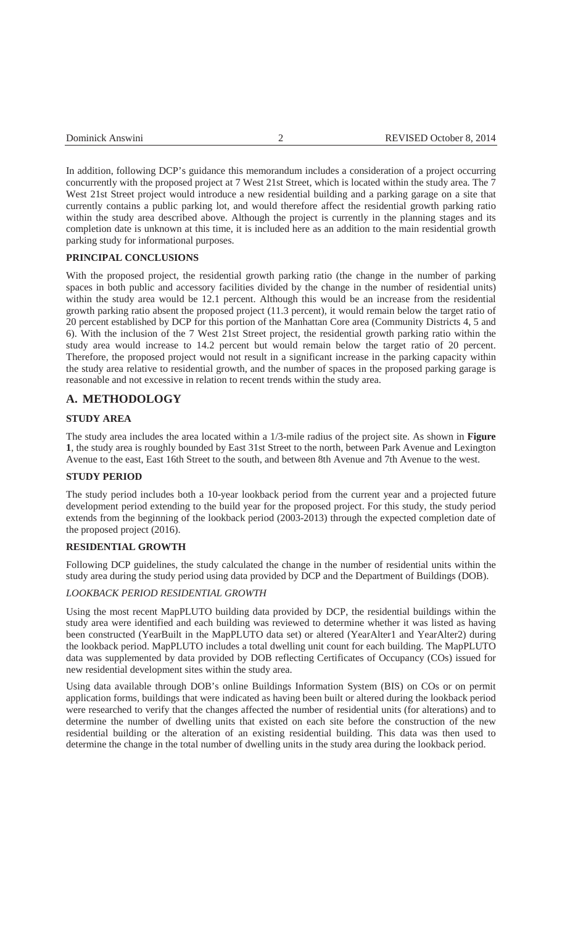In addition, following DCP's guidance this memorandum includes a consideration of a project occurring concurrently with the proposed project at 7 West 21st Street, which is located within the study area. The 7 West 21st Street project would introduce a new residential building and a parking garage on a site that currently contains a public parking lot, and would therefore affect the residential growth parking ratio within the study area described above. Although the project is currently in the planning stages and its completion date is unknown at this time, it is included here as an addition to the main residential growth parking study for informational purposes.

#### **PRINCIPAL CONCLUSIONS**

With the proposed project, the residential growth parking ratio (the change in the number of parking spaces in both public and accessory facilities divided by the change in the number of residential units) within the study area would be 12.1 percent. Although this would be an increase from the residential growth parking ratio absent the proposed project (11.3 percent), it would remain below the target ratio of 20 percent established by DCP for this portion of the Manhattan Core area (Community Districts 4, 5 and 6). With the inclusion of the 7 West 21st Street project, the residential growth parking ratio within the study area would increase to 14.2 percent but would remain below the target ratio of 20 percent. Therefore, the proposed project would not result in a significant increase in the parking capacity within the study area relative to residential growth, and the number of spaces in the proposed parking garage is reasonable and not excessive in relation to recent trends within the study area.

## **A. METHODOLOGY**

#### **STUDY AREA**

The study area includes the area located within a 1/3-mile radius of the project site. As shown in **Figure 1**, the study area is roughly bounded by East 31st Street to the north, between Park Avenue and Lexington Avenue to the east, East 16th Street to the south, and between 8th Avenue and 7th Avenue to the west.

## **STUDY PERIOD**

The study period includes both a 10-year lookback period from the current year and a projected future development period extending to the build year for the proposed project. For this study, the study period extends from the beginning of the lookback period (2003-2013) through the expected completion date of the proposed project (2016).

#### **RESIDENTIAL GROWTH**

Following DCP guidelines, the study calculated the change in the number of residential units within the study area during the study period using data provided by DCP and the Department of Buildings (DOB).

## *LOOKBACK PERIOD RESIDENTIAL GROWTH*

Using the most recent MapPLUTO building data provided by DCP, the residential buildings within the study area were identified and each building was reviewed to determine whether it was listed as having been constructed (YearBuilt in the MapPLUTO data set) or altered (YearAlter1 and YearAlter2) during the lookback period. MapPLUTO includes a total dwelling unit count for each building. The MapPLUTO data was supplemented by data provided by DOB reflecting Certificates of Occupancy (COs) issued for new residential development sites within the study area.

Using data available through DOB's online Buildings Information System (BIS) on COs or on permit application forms, buildings that were indicated as having been built or altered during the lookback period were researched to verify that the changes affected the number of residential units (for alterations) and to determine the number of dwelling units that existed on each site before the construction of the new residential building or the alteration of an existing residential building. This data was then used to determine the change in the total number of dwelling units in the study area during the lookback period.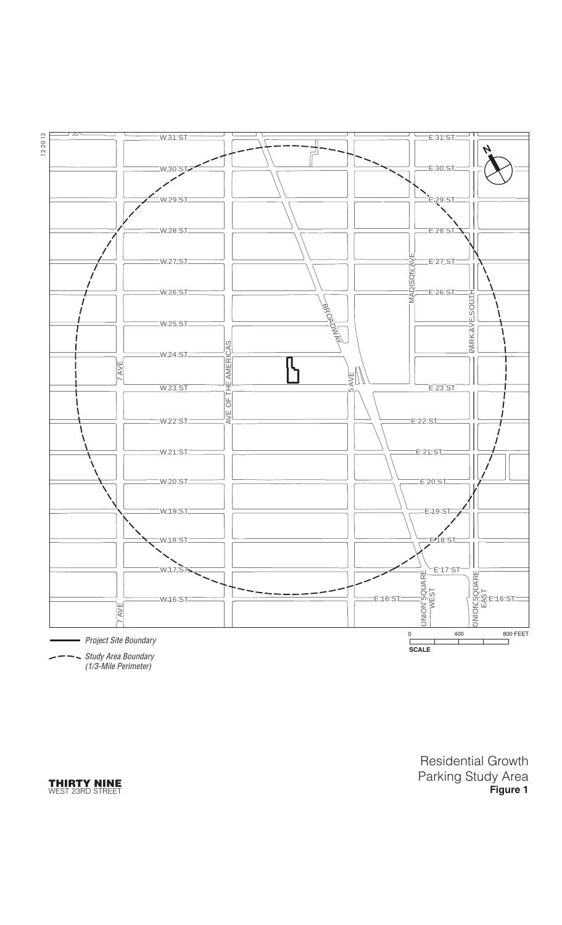

Study Area Boundary (1/3-Mile Perimeter)

**THIRTY NINE** WEST 23RD STREET Residential Growth Parking Study Area **Figure 1**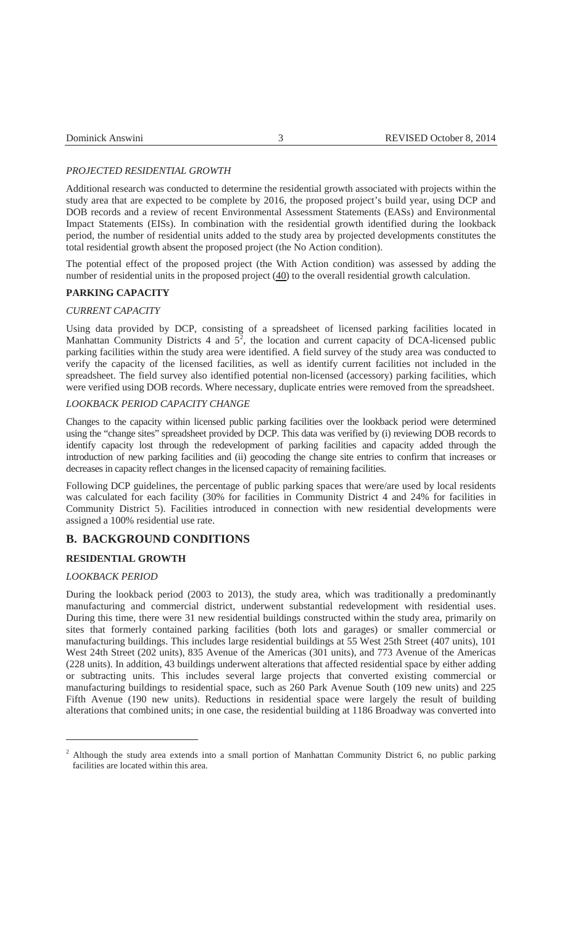| REVISED October 8, 2014 |
|-------------------------|
|                         |
|                         |

## *PROJECTED RESIDENTIAL GROWTH*

Additional research was conducted to determine the residential growth associated with projects within the study area that are expected to be complete by 2016, the proposed project's build year, using DCP and DOB records and a review of recent Environmental Assessment Statements (EASs) and Environmental Impact Statements (EISs). In combination with the residential growth identified during the lookback period, the number of residential units added to the study area by projected developments constitutes the total residential growth absent the proposed project (the No Action condition).

The potential effect of the proposed project (the With Action condition) was assessed by adding the number of residential units in the proposed project (40) to the overall residential growth calculation.

## **PARKING CAPACITY**

#### *CURRENT CAPACITY*

Using data provided by DCP, consisting of a spreadsheet of licensed parking facilities located in Manhattan Community Districts 4 and  $5^2$ , the location and current capacity of DCA-licensed public parking facilities within the study area were identified. A field survey of the study area was conducted to verify the capacity of the licensed facilities, as well as identify current facilities not included in the spreadsheet. The field survey also identified potential non-licensed (accessory) parking facilities, which were verified using DOB records. Where necessary, duplicate entries were removed from the spreadsheet.

#### *LOOKBACK PERIOD CAPACITY CHANGE*

Changes to the capacity within licensed public parking facilities over the lookback period were determined using the "change sites" spreadsheet provided by DCP. This data was verified by (i) reviewing DOB records to identify capacity lost through the redevelopment of parking facilities and capacity added through the introduction of new parking facilities and (ii) geocoding the change site entries to confirm that increases or decreases in capacity reflect changes in the licensed capacity of remaining facilities.

Following DCP guidelines, the percentage of public parking spaces that were/are used by local residents was calculated for each facility (30% for facilities in Community District 4 and 24% for facilities in Community District 5). Facilities introduced in connection with new residential developments were assigned a 100% residential use rate.

## **B. BACKGROUND CONDITIONS**

## **RESIDENTIAL GROWTH**

## *LOOKBACK PERIOD*

 $\overline{a}$ 

During the lookback period (2003 to 2013), the study area, which was traditionally a predominantly manufacturing and commercial district, underwent substantial redevelopment with residential uses. During this time, there were 31 new residential buildings constructed within the study area, primarily on sites that formerly contained parking facilities (both lots and garages) or smaller commercial or manufacturing buildings. This includes large residential buildings at 55 West 25th Street (407 units), 101 West 24th Street (202 units), 835 Avenue of the Americas (301 units), and 773 Avenue of the Americas (228 units). In addition, 43 buildings underwent alterations that affected residential space by either adding or subtracting units. This includes several large projects that converted existing commercial or manufacturing buildings to residential space, such as 260 Park Avenue South (109 new units) and 225 Fifth Avenue (190 new units). Reductions in residential space were largely the result of building alterations that combined units; in one case, the residential building at 1186 Broadway was converted into

<sup>&</sup>lt;sup>2</sup> Although the study area extends into a small portion of Manhattan Community District 6, no public parking facilities are located within this area.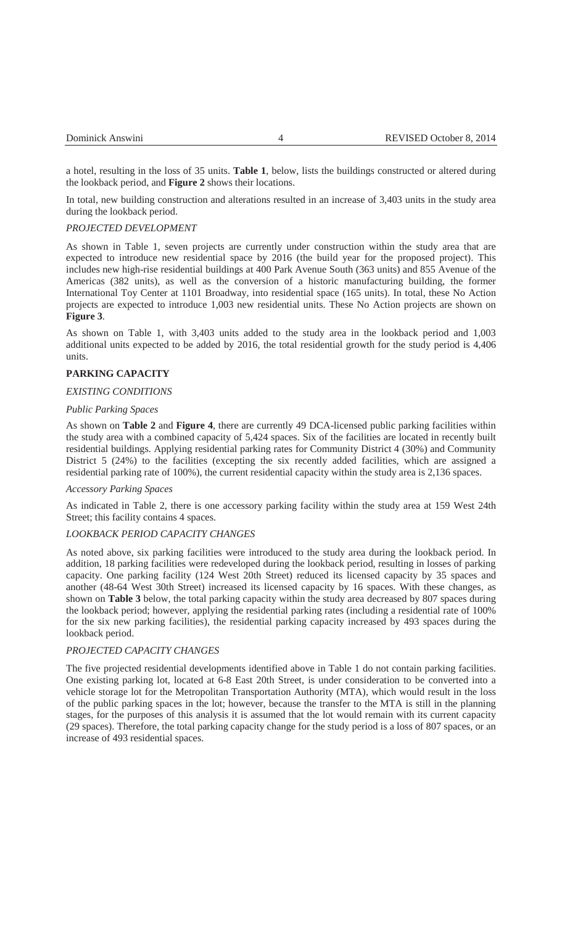a hotel, resulting in the loss of 35 units. **Table 1**, below, lists the buildings constructed or altered during the lookback period, and **Figure 2** shows their locations.

In total, new building construction and alterations resulted in an increase of 3,403 units in the study area during the lookback period.

## *PROJECTED DEVELOPMENT*

As shown in Table 1, seven projects are currently under construction within the study area that are expected to introduce new residential space by 2016 (the build year for the proposed project). This includes new high-rise residential buildings at 400 Park Avenue South (363 units) and 855 Avenue of the Americas (382 units), as well as the conversion of a historic manufacturing building, the former International Toy Center at 1101 Broadway, into residential space (165 units). In total, these No Action projects are expected to introduce 1,003 new residential units. These No Action projects are shown on **Figure 3**.

As shown on Table 1, with 3,403 units added to the study area in the lookback period and 1,003 additional units expected to be added by 2016, the total residential growth for the study period is 4,406 units.

#### **PARKING CAPACITY**

#### *EXISTING CONDITIONS*

#### *Public Parking Spaces*

As shown on **Table 2** and **Figure 4**, there are currently 49 DCA-licensed public parking facilities within the study area with a combined capacity of 5,424 spaces. Six of the facilities are located in recently built residential buildings. Applying residential parking rates for Community District 4 (30%) and Community District 5 (24%) to the facilities (excepting the six recently added facilities, which are assigned a residential parking rate of 100%), the current residential capacity within the study area is 2,136 spaces.

#### *Accessory Parking Spaces*

As indicated in Table 2, there is one accessory parking facility within the study area at 159 West 24th Street; this facility contains 4 spaces.

#### *LOOKBACK PERIOD CAPACITY CHANGES*

As noted above, six parking facilities were introduced to the study area during the lookback period. In addition, 18 parking facilities were redeveloped during the lookback period, resulting in losses of parking capacity. One parking facility (124 West 20th Street) reduced its licensed capacity by 35 spaces and another (48-64 West 30th Street) increased its licensed capacity by 16 spaces. With these changes, as shown on **Table 3** below, the total parking capacity within the study area decreased by 807 spaces during the lookback period; however, applying the residential parking rates (including a residential rate of 100% for the six new parking facilities), the residential parking capacity increased by 493 spaces during the lookback period.

#### *PROJECTED CAPACITY CHANGES*

The five projected residential developments identified above in Table 1 do not contain parking facilities. One existing parking lot, located at 6-8 East 20th Street, is under consideration to be converted into a vehicle storage lot for the Metropolitan Transportation Authority (MTA), which would result in the loss of the public parking spaces in the lot; however, because the transfer to the MTA is still in the planning stages, for the purposes of this analysis it is assumed that the lot would remain with its current capacity (29 spaces). Therefore, the total parking capacity change for the study period is a loss of 807 spaces, or an increase of 493 residential spaces.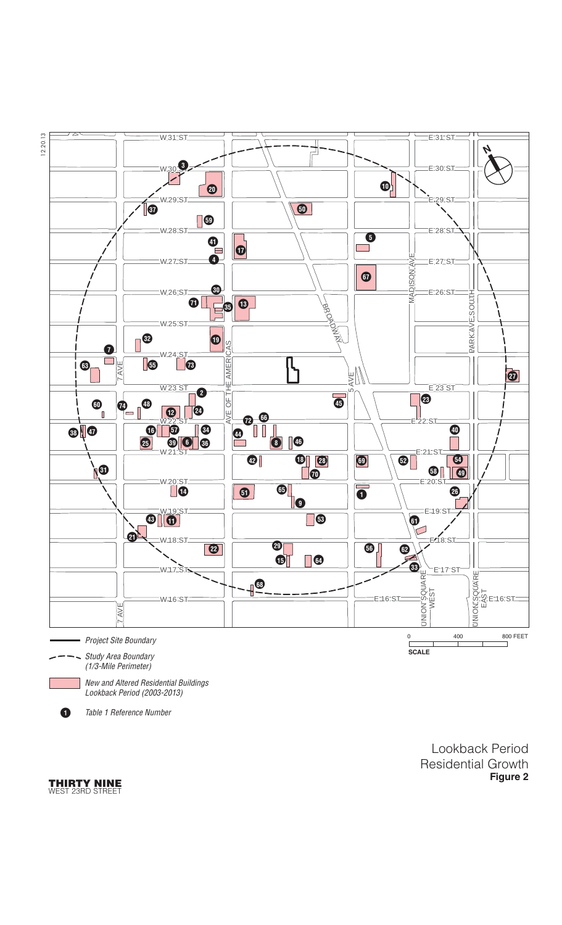

!**<sup>1</sup>** Table 1 Reference Number

Lookback Period Residential Growth **Figure 2**

**THIRTY NINE** WEST 23RD STREET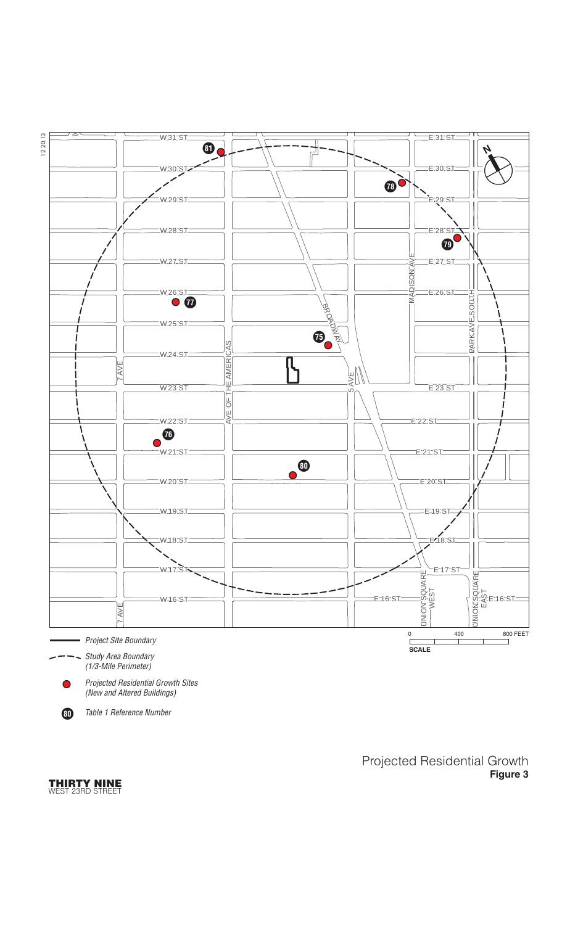

(New and Altered Buildings)

!**<sup>80</sup>** Table 1 Reference Number

Projected Residential Growth **Figure 3**

**THIRTY NINE** WEST 23RD STREET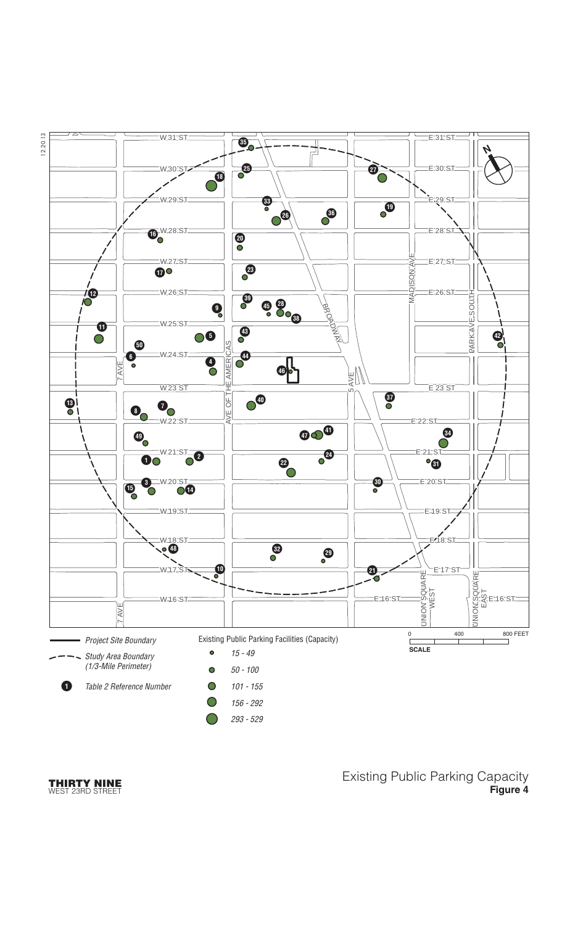

#### **THIRTY NINE** WEST 23RD STREET

Existing Public Parking Capacity **Figure 4**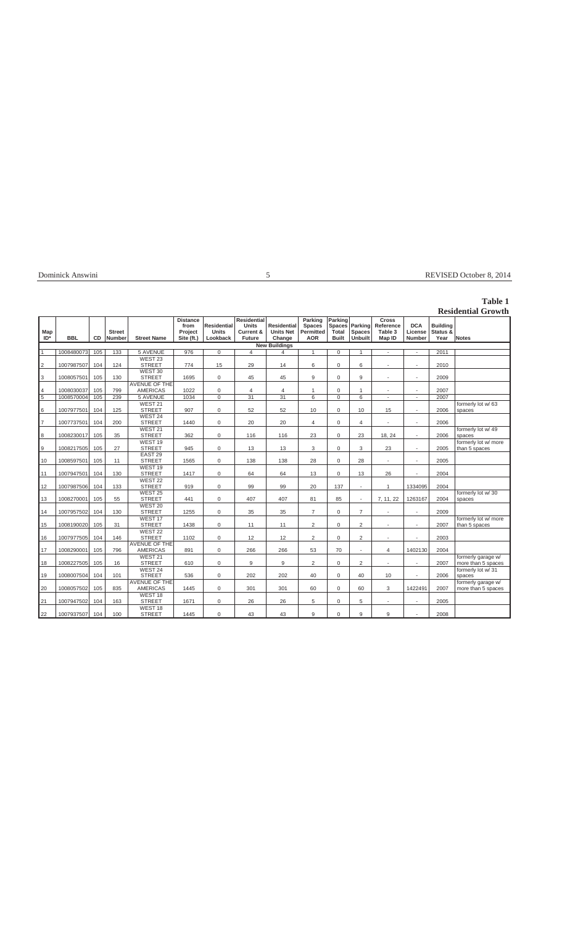| Dominick Answini |  |  |
|------------------|--|--|
|                  |  |  |

## Dominick Answini 5 REVISED October 8, 2014

# **Table 1**

|                  |            |     |                                |                                         |                                                  |                                                |                                                           |                                                  |                                                            |                                            |                                            |                                                |                                        |                                     | <b>Residential Growth</b>                |
|------------------|------------|-----|--------------------------------|-----------------------------------------|--------------------------------------------------|------------------------------------------------|-----------------------------------------------------------|--------------------------------------------------|------------------------------------------------------------|--------------------------------------------|--------------------------------------------|------------------------------------------------|----------------------------------------|-------------------------------------|------------------------------------------|
| Map<br>$ID^*$    | <b>BBL</b> | CD  | <b>Street</b><br><b>Number</b> | <b>Street Name</b>                      | <b>Distance</b><br>from<br>Project<br>Site (ft.) | <b>Residential</b><br><b>Units</b><br>Lookback | <b>Residential</b><br><b>Units</b><br>Current &<br>Future | <b>Residential</b><br><b>Units Net</b><br>Change | Parking<br><b>Spaces</b><br><b>Permitted</b><br><b>AOR</b> | Parking<br>Spaces<br>Total<br><b>Built</b> | Parking<br><b>Spaces</b><br><b>Unbuilt</b> | <b>Cross</b><br>Reference<br>Table 3<br>Map ID | <b>DCA</b><br>License<br><b>Number</b> | <b>Building</b><br>Status &<br>Year | <b>Notes</b>                             |
|                  |            |     |                                |                                         |                                                  |                                                |                                                           | <b>New Buildings</b>                             |                                                            |                                            |                                            |                                                |                                        |                                     |                                          |
| $\overline{1}$   | 1008480073 | 105 | 133                            | <b>5 AVENUE</b>                         | 976                                              | $\mathbf 0$                                    | $\overline{4}$                                            | $\overline{4}$                                   | $\mathbf{1}$                                               | $\mathbf 0$                                | 1                                          | $\omega$                                       | $\omega$                               | 2011                                |                                          |
| $\overline{2}$   | 1007987507 | 104 | 124                            | WEST <sub>23</sub><br><b>STREET</b>     | 774                                              | 15                                             | 29                                                        | 14                                               | 6                                                          | $\mathbf 0$                                | 6                                          |                                                | $\sim$                                 | 2010                                |                                          |
| 3                | 1008057501 | 105 | 130                            | WEST 30<br><b>STREET</b>                | 1695                                             | $\mathbf 0$                                    | 45                                                        | 45                                               | 9                                                          | 0                                          | 9                                          | $\overline{\phantom{a}}$                       | $\sim$                                 | 2009                                |                                          |
|                  |            |     |                                | <b>AVENUE OF THE</b>                    |                                                  |                                                |                                                           |                                                  |                                                            |                                            |                                            |                                                |                                        |                                     |                                          |
| $\overline{4}$   | 1008030037 | 105 | 799                            | <b>AMERICAS</b>                         | 1022                                             | $\mathbf 0$                                    | $\overline{4}$                                            | $\overline{4}$                                   |                                                            | 0                                          | 1                                          | $\sim$                                         | $\sim$                                 | 2007                                |                                          |
| $\overline{5}$   | 1008570004 | 105 | 239                            | <b>5 AVENUE</b>                         | 1034                                             | $\overline{0}$                                 | 31                                                        | $\overline{31}$                                  | $6\overline{6}$                                            | $\mathbf 0$                                | 6                                          | ÷                                              | $\sim$                                 | 2007                                |                                          |
| 6                | 1007977501 | 104 | 125                            | WEST 21<br><b>STREET</b>                | 907                                              | 0                                              | 52                                                        | 52                                               | 10                                                         | 0                                          | 10                                         | 15                                             | $\sim$                                 | 2006                                | formerly lot w/ 63<br>spaces             |
| $\overline{7}$   | 1007737501 | 104 | 200                            | WEST 24<br><b>STREET</b>                | 1440                                             | 0                                              | 20                                                        | 20                                               | 4                                                          | $\mathbf 0$                                | 4                                          |                                                | $\sim$                                 | 2006                                |                                          |
| $\boldsymbol{8}$ | 1008230017 | 105 | 35                             | WEST <sub>21</sub><br><b>STREET</b>     | 362                                              | 0                                              | 116                                                       | 116                                              | 23                                                         | $\mathbf 0$                                | 23                                         | 18, 24                                         | $\sim$                                 | 2006                                | formerly lot w/ 49<br>spaces             |
| $\overline{9}$   | 1008217505 | 105 | 27                             | WEST <sub>19</sub><br><b>STREET</b>     | 945                                              | $\mathsf 0$                                    | 13                                                        | 13                                               | 3                                                          | $\mathbf 0$                                | 3                                          | 23                                             | ÷,                                     | 2005                                | formerly lot w/ more<br>than 5 spaces    |
| 10               | 1008597501 | 105 | 11                             | EAST <sub>29</sub><br><b>STREET</b>     | 1565                                             | $\mathbf 0$                                    | 138                                                       | 138                                              | 28                                                         | $\Omega$                                   | 28                                         | ÷                                              | $\sim$                                 | 2005                                |                                          |
| 11               | 1007947501 | 104 | 130                            | WEST <sub>19</sub><br><b>STREET</b>     | 1417                                             | $\mathbf 0$                                    | 64                                                        | 64                                               | 13                                                         | $\Omega$                                   | 13                                         | 26                                             |                                        | 2004                                |                                          |
| 12               | 1007987506 | 104 | 133                            | WEST <sub>22</sub><br><b>STREET</b>     | 919                                              | $\mathbf 0$                                    | 99                                                        | 99                                               | 20                                                         | 137                                        | $\sim$                                     | 1                                              | 1334095                                | 2004                                |                                          |
| 13               | 1008270001 | 105 | 55                             | WEST <sub>25</sub><br><b>STREET</b>     | 441                                              | $\Omega$                                       | 407                                                       | 407                                              | 81                                                         | 85                                         | $\sim$                                     | 7, 11, 22                                      | 1263167                                | 2004                                | formerly lot w/30<br>spaces              |
| 14               | 1007957502 | 104 | 130                            | WEST 20<br><b>STREET</b>                | 1255                                             | $\mathbf 0$                                    | 35                                                        | 35                                               | $\overline{7}$                                             | $\Omega$                                   | $\overline{7}$                             | $\overline{\phantom{a}}$                       | $\sim$                                 | 2009                                |                                          |
| 15               | 1008190020 | 105 | 31                             | WEST <sub>17</sub><br><b>STREET</b>     | 1438                                             | 0                                              | 11                                                        | 11                                               | 2                                                          | $\Omega$                                   | $\overline{2}$                             |                                                | $\overline{a}$                         | 2007                                | formerly lot w/ more<br>than 5 spaces    |
| 16               | 1007977505 | 104 | 146                            | WEST 22<br><b>STREET</b>                | 1102                                             | $\mathbf 0$                                    | 12                                                        | 12                                               | 2                                                          | $\mathbf 0$                                | $\overline{2}$                             |                                                | $\sim$                                 | 2003                                |                                          |
| 17               | 1008290001 | 105 | 796                            | <b>AVENUE OF THE</b><br><b>AMERICAS</b> | 891                                              | 0                                              | 266                                                       | 266                                              | 53                                                         | 70                                         | $\mathbf{r}$                               | $\overline{4}$                                 | 1402130                                | 2004                                |                                          |
| 18               | 1008227505 | 105 | 16                             | WEST <sub>21</sub><br><b>STREET</b>     | 610                                              | 0                                              | 9                                                         | 9                                                | 2                                                          | $\mathbf 0$                                | $\overline{2}$                             |                                                | $\sim$                                 | 2007                                | formerly garage w/<br>more than 5 spaces |
| 19               | 1008007504 | 104 | 101                            | WEST 24<br><b>STREET</b>                | 536                                              | $\mathbf 0$                                    | 202                                                       | 202                                              | 40                                                         | $\mathbf 0$                                | 40                                         | 10                                             | $\sim$                                 | 2006                                | formerly lot w/ 31<br>spaces             |
| 20               | 1008057502 | 105 | 835                            | <b>AVENUE OF THE</b><br><b>AMERICAS</b> | 1445                                             | $\mathsf 0$                                    | 301                                                       | 301                                              | 60                                                         | $\mathbf 0$                                | 60                                         | 3                                              | 1422491                                | 2007                                | formerly garage w/<br>more than 5 spaces |
| 21               | 1007947502 | 104 | 163                            | WEST <sub>18</sub><br><b>STREET</b>     | 1671                                             | $\mathsf 0$                                    | 26                                                        | 26                                               | 5                                                          | 0                                          | 5                                          | $\overline{\phantom{a}}$                       | $\sim$                                 | 2005                                |                                          |
| 22               | 1007937507 | 104 | 100                            | WEST <sub>18</sub><br><b>STREET</b>     | 1445                                             | 0                                              | 43                                                        | 43                                               | 9                                                          | 0                                          | 9                                          | 9                                              | $\sim$                                 | 2008                                |                                          |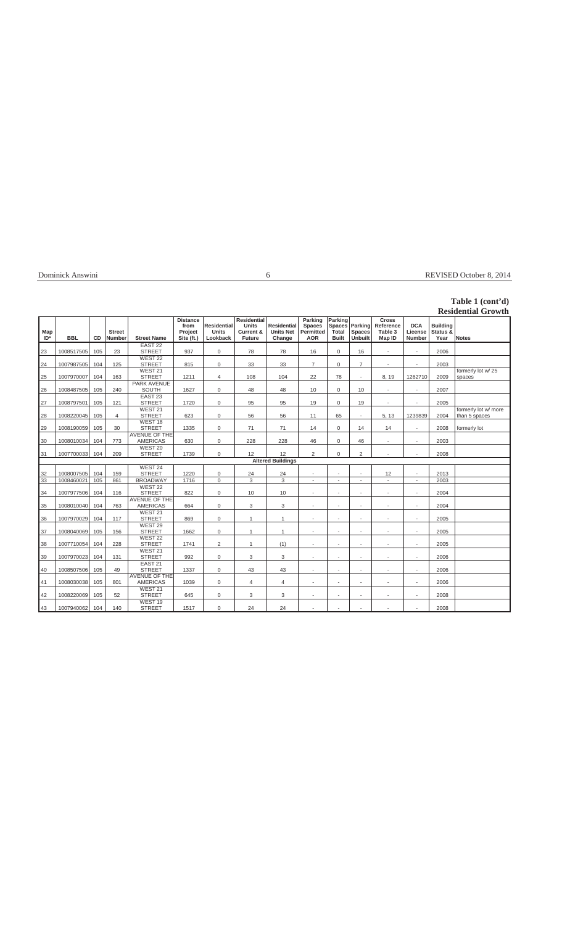| Dominick Answini |  |  |
|------------------|--|--|
|                  |  |  |

## Dominick Answini 6 REVISED October 8, 2014

# **Table 1 (cont'd)**

|            |            |     |                                |                                         |                                                  |                                                |                                                                             |                                                  |                                                     |                                            |                              |                                                |                                        |                                     | <b>Residential Growth</b>             |
|------------|------------|-----|--------------------------------|-----------------------------------------|--------------------------------------------------|------------------------------------------------|-----------------------------------------------------------------------------|--------------------------------------------------|-----------------------------------------------------|--------------------------------------------|------------------------------|------------------------------------------------|----------------------------------------|-------------------------------------|---------------------------------------|
| Map<br>ID* | <b>BBL</b> | CD  | <b>Street</b><br><b>Number</b> | <b>Street Name</b>                      | <b>Distance</b><br>from<br>Project<br>Site (ft.) | <b>Residential</b><br><b>Units</b><br>Lookback | <b>Residential</b><br><b>Units</b><br><b>Current &amp;</b><br><b>Future</b> | <b>Residential</b><br><b>Units Net</b><br>Change | Parking<br><b>Spaces</b><br>Permitted<br><b>AOR</b> | Parking<br>Spaces<br>Total<br><b>Built</b> | Parking<br>Spaces<br>Unbuilt | <b>Cross</b><br>Reference<br>Table 3<br>Map ID | <b>DCA</b><br>License<br><b>Number</b> | <b>Building</b><br>Status &<br>Year | Notes                                 |
| 23         | 1008517505 | 105 | 23                             | EAST <sub>22</sub><br><b>STREET</b>     | 937                                              | $\mathbf 0$                                    | 78                                                                          | 78                                               | 16                                                  | $\mathbf 0$                                | 16                           | $\overline{\phantom{a}}$                       | $\sim$                                 | 2006                                |                                       |
| 24         | 1007987505 | 104 | 125                            | WEST <sub>22</sub><br><b>STREET</b>     | 815                                              | $\mathbf 0$                                    | 33                                                                          | 33                                               | $\overline{7}$                                      | $\mathbf 0$                                | $\overline{7}$               | $\sim$                                         |                                        | 2003                                |                                       |
| 25         | 1007970007 | 104 | 163                            | WEST 21<br><b>STREET</b>                | 1211                                             | $\overline{4}$                                 | 108                                                                         | 104                                              | 22                                                  | 78                                         | $\bar{a}$                    | 8, 19                                          | 1262710                                | 2009                                | formerly lot w/25<br>spaces           |
| 26         | 1008487505 | 105 | 240                            | <b>PARK AVENUE</b><br><b>SOUTH</b>      | 1627                                             | 0                                              | 48                                                                          | 48                                               | 10                                                  | $\mathbf 0$                                | 10                           |                                                | $\sim$                                 | 2007                                |                                       |
| 27         | 1008797501 | 105 | 121                            | EAST <sub>23</sub><br><b>STREET</b>     | 1720                                             | 0                                              | 95                                                                          | 95                                               | 19                                                  | $\Omega$                                   | 19                           | $\overline{\phantom{a}}$                       | $\sim$                                 | 2005                                |                                       |
| 28         | 1008220045 | 105 | 4                              | WEST 21<br><b>STREET</b>                | 623                                              | $\mathbf 0$                                    | 56                                                                          | 56                                               | 11                                                  | 65                                         | $\overline{\phantom{a}}$     | 5, 13                                          | 1239839                                | 2004                                | formerly lot w/ more<br>than 5 spaces |
| 29         | 1008190059 | 105 | 30                             | WEST <sub>18</sub><br><b>STREET</b>     | 1335                                             | $\mathbf 0$                                    | 71                                                                          | 71                                               | 14                                                  | $\mathbf 0$                                | 14                           | 14                                             | $\sim$                                 | 2008                                | formerly lot                          |
| 30         | 1008010034 | 104 | 773                            | <b>AVENUE OF THE</b><br><b>AMERICAS</b> | 630                                              | $\mathsf 0$                                    | 228                                                                         | 228                                              | 46                                                  | $\mathbf 0$                                | 46                           | $\sim$                                         | $\sim$                                 | 2003                                |                                       |
| 31         | 1007700033 | 104 | 209                            | WEST <sub>20</sub><br><b>STREET</b>     | 1739                                             | $\mathsf 0$                                    | 12                                                                          | 12                                               | 2                                                   | $\mathbf 0$                                | 2                            |                                                |                                        | 2008                                |                                       |
|            |            |     |                                |                                         |                                                  |                                                |                                                                             | <b>Altered Buildings</b>                         |                                                     |                                            |                              |                                                |                                        |                                     |                                       |
|            |            |     |                                | WEST 24                                 |                                                  |                                                |                                                                             |                                                  |                                                     |                                            |                              |                                                |                                        |                                     |                                       |
| 32         | 1008007505 | 104 | 159                            | <b>STREET</b>                           | 1220                                             | 0                                              | 24                                                                          | 24                                               | $\sim$                                              | $\sim$                                     | $\sim$                       | 12                                             | $\sim$                                 | 2013                                |                                       |
| 33         | 1008460021 | 105 | 861                            | <b>BROADWAY</b><br>WEST <sub>22</sub>   | 1716                                             | $\overline{0}$                                 | 3                                                                           | $\overline{3}$                                   | ÷,                                                  | ÷,                                         | $\bar{a}$                    | ÷,                                             | $\sim$                                 | 2003                                |                                       |
| 34         | 1007977506 | 104 | 116                            | <b>STREET</b>                           | 822                                              | $\mathsf 0$                                    | 10                                                                          | 10                                               | ÷,                                                  | ä,                                         | ٠                            | $\sim$                                         | $\sim$                                 | 2004                                |                                       |
| 35         | 1008010040 | 104 | 763                            | <b>AVENUE OF THE</b><br><b>AMERICAS</b> | 664                                              | $\mathbf 0$                                    | 3                                                                           | 3                                                | $\overline{a}$                                      | ٠                                          | $\sim$                       | $\sim$                                         | $\sim$                                 | 2004                                |                                       |
| 36         | 1007970029 | 104 | 117                            | WEST <sub>21</sub><br><b>STREET</b>     | 869                                              | 0                                              | $\mathbf{1}$                                                                | $\mathbf{1}$                                     | $\overline{a}$                                      | ä,                                         | $\sim$                       | $\sim$                                         | $\sim$                                 | 2005                                |                                       |
| 37         | 1008040069 | 105 | 156                            | WEST <sub>29</sub><br><b>STREET</b>     | 1662                                             | $\mathbf 0$                                    | $\mathbf{1}$                                                                | $\mathbf{1}$                                     | ÷.                                                  | $\overline{a}$                             | $\overline{\phantom{a}}$     | $\sim$                                         | $\sim$                                 | 2005                                |                                       |
| 38         | 1007710054 | 104 | 228                            | WEST <sub>22</sub><br><b>STREET</b>     | 1741                                             | $\overline{2}$                                 | 1                                                                           | (1)                                              | ÷,                                                  |                                            |                              |                                                | $\sim$                                 | 2005                                |                                       |
| 39         | 1007970023 | 104 | 131                            | WEST 21<br><b>STREET</b>                | 992                                              | $\mathbf 0$                                    | 3                                                                           | 3                                                | $\sim$                                              | ٠.                                         | ٠                            | $\blacksquare$                                 | $\sim$                                 | 2006                                |                                       |
| 40         | 1008507506 | 105 | 49                             | EAST <sub>21</sub><br><b>STREET</b>     | 1337                                             | 0                                              | 43                                                                          | 43                                               | $\ddot{\phantom{1}}$                                | ä,                                         |                              |                                                | ÷                                      | 2006                                |                                       |
| 41         | 1008030038 | 105 | 801                            | <b>AVENUE OF THE</b><br><b>AMERICAS</b> | 1039                                             | 0                                              | $\overline{4}$                                                              | 4                                                | ٠                                                   | ä,                                         | ٠                            |                                                | $\sim$                                 | 2006                                |                                       |
| 42         | 1008220069 | 105 | 52                             | WEST 21<br><b>STREET</b>                | 645                                              | $\mathsf 0$                                    | 3                                                                           | 3                                                | ÷,                                                  | ä,                                         |                              | $\sim$                                         | $\sim$                                 | 2008                                |                                       |
| 43         | 1007940062 | 104 | 140                            | WEST <sub>19</sub><br><b>STREET</b>     | 1517                                             | 0                                              | 24                                                                          | 24                                               | $\overline{\phantom{a}}$                            |                                            |                              |                                                | $\sim$                                 | 2008                                |                                       |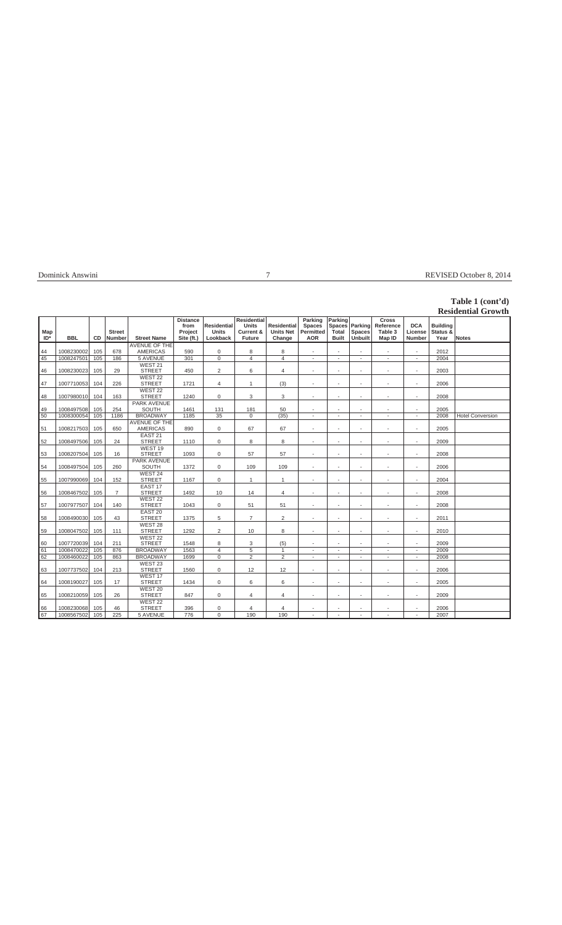| Dominick Answini |
|------------------|
|------------------|

## Property and the REVISED October 8, 2014

# **Table 1 (cont'd)**

|               |            |     |                                |                                         |                                                  |                                                |                                                                      |                                                  |                                                            |                                            |                                     |                                                |                                        |                                     | <b>Residential Growth</b> |
|---------------|------------|-----|--------------------------------|-----------------------------------------|--------------------------------------------------|------------------------------------------------|----------------------------------------------------------------------|--------------------------------------------------|------------------------------------------------------------|--------------------------------------------|-------------------------------------|------------------------------------------------|----------------------------------------|-------------------------------------|---------------------------|
| Map<br>$ID^*$ | <b>BBL</b> | CD  | <b>Street</b><br><b>Number</b> | <b>Street Name</b>                      | <b>Distance</b><br>from<br>Project<br>Site (ft.) | <b>Residential</b><br><b>Units</b><br>Lookback | <b>Residential</b><br>Units<br><b>Current &amp;</b><br><b>Future</b> | <b>Residential</b><br><b>Units Net</b><br>Change | Parking<br><b>Spaces</b><br><b>Permitted</b><br><b>AOR</b> | Parking<br>Spaces<br>Total<br><b>Built</b> | Parking<br>Spaces<br><b>Unbuilt</b> | <b>Cross</b><br>Reference<br>Table 3<br>Map ID | <b>DCA</b><br>License<br><b>Number</b> | <b>Building</b><br>Status &<br>Year | Notes                     |
|               |            |     |                                | AVENUE OF THE                           |                                                  |                                                |                                                                      |                                                  |                                                            |                                            |                                     |                                                |                                        |                                     |                           |
| 44            | 1008230002 | 105 | 678                            | <b>AMERICAS</b>                         | 590                                              | 0                                              | 8                                                                    | 8                                                | $\sim$                                                     | $\sim$                                     | $\mathbf{r}$                        | $\overline{\phantom{a}}$                       | $\sim$                                 | 2012                                |                           |
| 45            | 1008247501 | 105 | 186                            | <b>5 AVENUE</b>                         | 301                                              | 0                                              | $\overline{4}$                                                       | $\overline{4}$                                   | $\ddot{\phantom{1}}$                                       | $\sim$                                     | $\mathbf{r}$                        | $\overline{\phantom{a}}$                       | $\blacksquare$                         | 2004                                |                           |
| 46            | 1008230023 | 105 | 29                             | WEST 21<br><b>STREET</b>                | 450                                              | $\overline{2}$                                 | 6                                                                    | $\overline{4}$                                   | ÷,                                                         | ÷,                                         | ٠                                   | $\sim$                                         | $\sim$                                 | 2003                                |                           |
| 47            | 1007710053 | 104 | 226                            | WEST <sub>22</sub><br><b>STREET</b>     | 1721                                             | 4                                              | 1                                                                    | (3)                                              | ÷,                                                         | í,                                         | $\overline{\phantom{a}}$            |                                                | $\sim$                                 | 2006                                |                           |
| 48            | 1007980010 | 104 | 163                            | WEST <sub>22</sub><br><b>STREET</b>     | 1240                                             | $\mathsf 0$                                    | 3                                                                    | 3                                                | $\sim$                                                     | $\sim$                                     | ٠                                   | $\sim$                                         | $\sim$                                 | 2008                                |                           |
| 49            | 1008497508 | 105 | 254                            | <b>PARK AVENUE</b><br>SOUTH             | 1461                                             | 131                                            | 181                                                                  | 50                                               | $\overline{\phantom{a}}$                                   | $\sim$                                     | ٠                                   | $\overline{\phantom{a}}$                       | $\sim$                                 | 2005                                |                           |
| 50            | 1008300054 | 105 | 1186                           | <b>BROADWAY</b>                         | 1185                                             | 35                                             | $\mathbf 0$                                                          | (35)                                             | $\ddot{\phantom{1}}$                                       | $\overline{a}$                             | $\mathbf{r}$                        |                                                | $\sim$                                 | 2008                                | <b>Hotel Conversion</b>   |
| 51            | 1008217503 | 105 | 650                            | <b>AVENUE OF THE</b><br><b>AMERICAS</b> | 890                                              | $\mathbf 0$                                    | 67                                                                   | 67                                               | $\ddot{\phantom{1}}$                                       | L.                                         |                                     | $\overline{\phantom{a}}$                       | $\sim$                                 | 2005                                |                           |
| 52            | 1008497506 | 105 | 24                             | EAST <sub>21</sub><br><b>STREET</b>     | 1110                                             | $\mathbf 0$                                    | 8                                                                    | 8                                                | $\ddot{\phantom{1}}$                                       | L.                                         |                                     |                                                | $\overline{\phantom{a}}$               | 2009                                |                           |
| 53            | 1008207504 | 105 | 16                             | WEST <sub>19</sub><br><b>STREET</b>     | 1093                                             | $\mathsf 0$                                    | 57                                                                   | 57                                               | ÷,                                                         | ÷,                                         | $\overline{\phantom{a}}$            | $\overline{\phantom{a}}$                       | $\sim$                                 | 2008                                |                           |
| 54            | 1008497504 | 105 | 260                            | <b>PARK AVENUE</b><br><b>SOUTH</b>      | 1372                                             | $\mathbf 0$                                    | 109                                                                  | 109                                              | $\sim$                                                     | $\sim$                                     | ٠                                   | $\overline{\phantom{a}}$                       | $\sim$                                 | 2006                                |                           |
| 55            | 1007990069 | 104 | 152                            | WEST <sub>24</sub><br><b>STREET</b>     | 1167                                             | $\mathsf 0$                                    | 1                                                                    | 1                                                | $\sim$                                                     | $\sim$                                     | ٠                                   | $\sim$                                         | $\sim$                                 | 2004                                |                           |
| 56            | 1008467502 | 105 | $\overline{7}$                 | EAST <sub>17</sub><br><b>STREET</b>     | 1492                                             | 10                                             | 14                                                                   | 4                                                | $\sim$                                                     | $\sim$                                     | ٠                                   | $\overline{\phantom{a}}$                       | $\sim$                                 | 2008                                |                           |
| 57            | 1007977507 | 104 | 140                            | WEST <sub>22</sub><br><b>STREET</b>     | 1043                                             | 0                                              | 51                                                                   | 51                                               | ÷,                                                         | ä,                                         | $\sim$                              | $\sim$                                         | $\sim$                                 | 2008                                |                           |
| 58            | 1008490030 | 105 | 43                             | EAST <sub>20</sub><br><b>STREET</b>     | 1375                                             | 5                                              | $\overline{7}$                                                       | $\overline{2}$                                   | $\sim$                                                     | $\sim$                                     | $\overline{\phantom{a}}$            | $\sim$                                         | $\sim$                                 | 2011                                |                           |
| 59            | 1008047502 | 105 | 111                            | WEST 28<br><b>STREET</b>                | 1292                                             | $\overline{2}$                                 | 10                                                                   | 8                                                | $\sim$                                                     | ä,                                         | ٠                                   | $\overline{\phantom{a}}$                       | $\sim$                                 | 2010                                |                           |
| 60            | 1007720039 | 104 | 211                            | WEST <sub>22</sub><br><b>STREET</b>     | 1548                                             | 8                                              | 3                                                                    | (5)                                              | ٠                                                          |                                            | ٠                                   | $\sim$                                         | $\sim$                                 | 2009                                |                           |
| 61            | 1008470022 | 105 | 876                            | <b>BROADWAY</b>                         | 1563                                             | $\overline{4}$                                 | 5                                                                    | $\overline{1}$                                   | $\overline{\phantom{a}}$                                   | $\sim$                                     | ٠                                   | $\overline{\phantom{a}}$                       | $\overline{\phantom{a}}$               | 2009                                |                           |
| 62            | 1008460022 | 105 | 863                            | <b>BROADWAY</b>                         | 1699                                             | $\overline{0}$                                 | $\overline{2}$                                                       | $\overline{2}$                                   | $\sim$                                                     | $\sim$                                     | $\sim$                              | $\overline{\phantom{a}}$                       | $\sim$                                 | 2008                                |                           |
| 63            | 1007737502 | 104 | 213                            | WEST <sub>23</sub><br><b>STREET</b>     | 1560                                             | 0                                              | 12                                                                   | 12                                               | $\ddot{\phantom{1}}$                                       | ä,                                         |                                     | $\sim$                                         | $\sim$                                 | 2006                                |                           |
| 64            | 1008190027 | 105 | 17                             | WEST <sub>17</sub><br><b>STREET</b>     | 1434                                             | $\mathbf 0$                                    | 6                                                                    | 6                                                | $\ddot{\phantom{1}}$                                       | ä,                                         | ٠                                   |                                                | $\sim$                                 | 2005                                |                           |
| 65            | 1008210059 | 105 | 26                             | WEST 20<br><b>STREET</b>                | 847                                              | 0                                              | $\overline{4}$                                                       | $\overline{4}$                                   | ٠                                                          | ä,                                         | ٠                                   | $\sim$                                         | $\sim$                                 | 2009                                |                           |
|               |            |     |                                | WEST <sub>22</sub>                      |                                                  |                                                |                                                                      |                                                  |                                                            |                                            |                                     |                                                |                                        |                                     |                           |
| 66            | 1008230068 | 105 | 46                             | <b>STREET</b>                           | 396                                              | 0                                              | $\overline{4}$                                                       | $\overline{4}$                                   | $\overline{\phantom{a}}$                                   | ٠                                          | ٠                                   | $\blacksquare$                                 | $\sim$                                 | 2006                                |                           |
| 67            | 1008567502 | 105 | 225                            | <b>5 AVENUE</b>                         | 776                                              | 0                                              | 190                                                                  | 190                                              | ٠                                                          | ٠                                          | $\overline{\phantom{a}}$            | $\sim$                                         | $\sim$                                 | 2007                                |                           |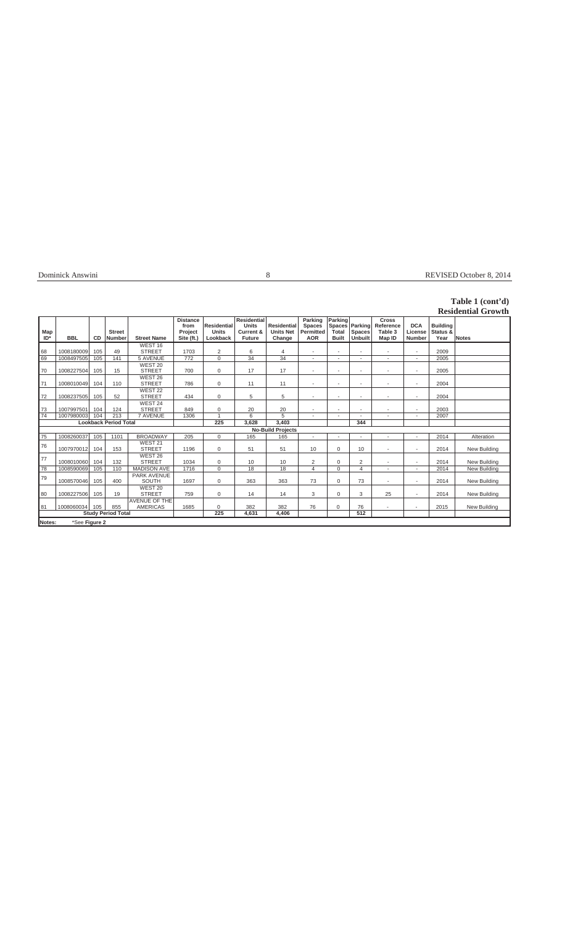# Dominick Answini 8 REVISED October 8, 2014

# **Table 1 (cont'd)**

|            |               |            |                                |                                         |                                                  |                                                |                                                                             |                                                  |                                                     |                                  |                                            |                                                |                                 |                                     | <b>Residential Growth</b> |
|------------|---------------|------------|--------------------------------|-----------------------------------------|--------------------------------------------------|------------------------------------------------|-----------------------------------------------------------------------------|--------------------------------------------------|-----------------------------------------------------|----------------------------------|--------------------------------------------|------------------------------------------------|---------------------------------|-------------------------------------|---------------------------|
| Map<br>ID* | <b>BBL</b>    | CD.        | <b>Street</b><br><b>Number</b> | <b>Street Name</b>                      | <b>Distance</b><br>from<br>Project<br>Site (ft.) | <b>Residential</b><br><b>Units</b><br>Lookback | <b>Residential</b><br><b>Units</b><br><b>Current &amp;</b><br><b>Future</b> | <b>Residential</b><br><b>Units Net</b><br>Change | Parking<br><b>Spaces</b><br>Permitted<br><b>AOR</b> | Parking<br>Total<br><b>Built</b> | Spaces Parking<br><b>Spaces</b><br>Unbuilt | <b>Cross</b><br>Reference<br>Table 3<br>Map ID | <b>DCA</b><br>License<br>Number | <b>Building</b><br>Status &<br>Year | <b>Notes</b>              |
|            |               |            |                                | WEST <sub>16</sub>                      |                                                  |                                                |                                                                             |                                                  |                                                     |                                  |                                            |                                                |                                 |                                     |                           |
| 68<br>69   | 1008180009    | 105<br>105 | 49<br>141                      | <b>STREET</b><br>5 AVENUE               | 1703<br>772                                      | $\overline{2}$<br>$\mathbf 0$                  | 6<br>34                                                                     | $\overline{4}$<br>34                             |                                                     |                                  |                                            |                                                |                                 | 2009<br>2005                        |                           |
|            | 1008497505    |            |                                | WEST 20                                 |                                                  |                                                |                                                                             |                                                  | $\sim$                                              | $\sim$                           | ٠                                          | $\blacksquare$                                 | $\sim$                          |                                     |                           |
| 70         | 1008227504    | 105        | 15                             | <b>STREET</b>                           | 700                                              | 0                                              | 17                                                                          | 17                                               | $\overline{\phantom{a}}$                            | ٠                                | $\overline{\phantom{a}}$                   |                                                | $\sim$                          | 2005                                |                           |
| 71         | 1008010049    | 104        | 110                            | WEST 26<br><b>STREET</b>                | 786                                              | 0                                              | 11                                                                          | 11                                               | ÷,                                                  |                                  |                                            |                                                | ٠                               | 2004                                |                           |
| 72         | 1008237505    | 105        | 52                             | WEST <sub>22</sub><br><b>STREET</b>     | 434                                              | 0                                              | 5                                                                           | 5                                                | ٠                                                   | ٠                                | $\overline{\phantom{a}}$                   | $\overline{\phantom{a}}$                       | $\sim$                          | 2004                                |                           |
| 73         | 1007997501    | 104        | 124                            | WEST 24<br><b>STREET</b>                | 849                                              | 0                                              | 20                                                                          | 20                                               | ٠                                                   | ٠                                | $\overline{\phantom{a}}$                   |                                                | ٠                               | 2003                                |                           |
| 74         | 1007980003    | 104        | 213                            | <b>7 AVENUE</b>                         | 1306                                             | $\overline{1}$                                 | 6                                                                           | 5                                                |                                                     |                                  |                                            |                                                |                                 | 2007                                |                           |
|            |               |            | <b>Lookback Period Total</b>   |                                         |                                                  | 225                                            | 3.628                                                                       | 3,403                                            |                                                     |                                  | 344                                        |                                                |                                 |                                     |                           |
|            |               |            |                                |                                         |                                                  |                                                |                                                                             | <b>No-Build Projects</b>                         |                                                     |                                  |                                            |                                                |                                 |                                     |                           |
| 75         | 1008260037    | 105        | 1101                           | <b>BROADWAY</b>                         | 205                                              | $\mathbf 0$                                    | 165                                                                         | 165                                              | ÷,                                                  |                                  |                                            |                                                | $\sim$                          | 2014                                | Alteration                |
| 76         | 1007970012    | 104        | 153                            | WEST 21<br><b>STREET</b>                | 1196                                             | $\mathbf 0$                                    | 51                                                                          | 51                                               | 10                                                  | 0                                | 10                                         |                                                | ٠                               | 2014                                | New Building              |
| 77         | 1008010060    | 104        | 132                            | WEST 26<br><b>STREET</b>                | 1034                                             | 0                                              | 10                                                                          | 10                                               | 2                                                   | 0                                | 2                                          |                                                |                                 | 2014                                | New Building              |
| 78         | 1008590069    | 105        | 110                            | <b>MADISON AVE</b>                      | 1716                                             | $\Omega$                                       | 18                                                                          | 18                                               | $\overline{4}$                                      | $\Omega$                         | 4                                          |                                                | $\overline{\phantom{a}}$        | 2014                                | New Building              |
| 79         | 1008570046    | 105        | 400                            | <b>PARK AVENUE</b><br>SOUTH             | 1697                                             | 0                                              | 363                                                                         | 363                                              | 73                                                  | 0                                | 73                                         | $\sim$                                         | $\sim$                          | 2014                                | New Building              |
| 80         | 1008227506    | 105        | 19                             | WEST 20<br><b>STREET</b>                | 759                                              | 0                                              | 14                                                                          | 14                                               | 3                                                   | 0                                | 3                                          | 25                                             | $\sim$                          | 2014                                | New Building              |
| 81         | 1008060034    | 105        | 855                            | <b>AVENUE OF THE</b><br><b>AMERICAS</b> | 1685                                             | 0                                              | 382                                                                         | 382                                              | 76                                                  | $\mathbf 0$                      | 76                                         |                                                |                                 | 2015                                | New Building              |
|            |               |            | <b>Study Period Total</b>      |                                         |                                                  | 225                                            | 4.631                                                                       | 4.406                                            |                                                     |                                  | 512                                        |                                                |                                 |                                     |                           |
| Notes:     | *See Figure 2 |            |                                |                                         |                                                  |                                                |                                                                             |                                                  |                                                     |                                  |                                            |                                                |                                 |                                     |                           |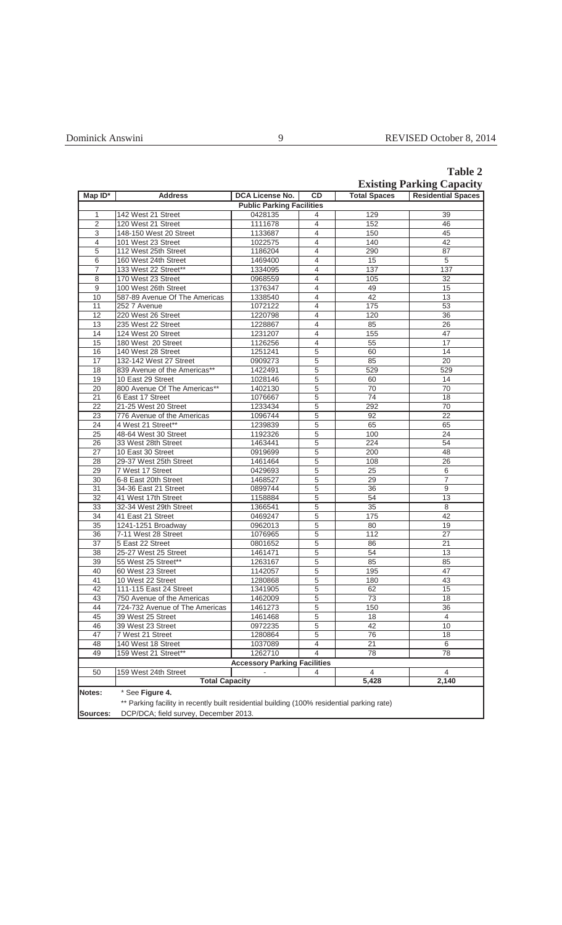|                                  | <b>Table 2</b> |
|----------------------------------|----------------|
| <b>Existing Parking Capacity</b> |                |

|                 |                                                                                            |                                     |                |                     | <b>EXISUIIG 1 ATNING CAPACITY</b> |
|-----------------|--------------------------------------------------------------------------------------------|-------------------------------------|----------------|---------------------|-----------------------------------|
| $Map ID^*$      | <b>Address</b>                                                                             | <b>DCA License No.</b>              | CD             | <b>Total Spaces</b> | <b>Residential Spaces</b>         |
|                 |                                                                                            | <b>Public Parking Facilities</b>    |                |                     |                                   |
| 1               | 142 West 21 Street                                                                         | 0428135                             | 4              | 129                 | 39                                |
| $\overline{2}$  | 120 West 21 Street                                                                         | 1111678                             | 4              | 152                 | 46                                |
| $\overline{3}$  | 148-150 West 20 Street                                                                     | 1133687                             | 4              | 150                 | 45                                |
| $\overline{4}$  | 101 West 23 Street                                                                         | 1022575                             | 4              | 140                 | 42                                |
| $\overline{5}$  | 112 West 25th Street                                                                       | 1186204                             | 4              | 290                 | 87                                |
| 6               | 160 West 24th Street                                                                       | 1469400                             | 4              | 15                  | $\overline{5}$                    |
| 7               | 133 West 22 Street**                                                                       | 1334095                             | 4              | 137                 | 137                               |
| 8               | 170 West 23 Street                                                                         | 0968559                             | 4              | 105                 | 32                                |
| $\overline{9}$  | 100 West 26th Street                                                                       | 1376347                             | $\overline{4}$ | 49                  | 15                                |
| 10              | 587-89 Avenue Of The Americas                                                              | 1338540                             | 4              | 42                  | 13                                |
|                 |                                                                                            |                                     |                |                     |                                   |
| 11              | 252 7 Avenue                                                                               | 1072122                             | 4              | 175                 | 53                                |
| 12              | 220 West 26 Street                                                                         | 1220798                             | $\overline{4}$ | 120                 | 36                                |
| 13              | 235 West 22 Street                                                                         | 1228867                             | 4              | 85                  | 26                                |
| 14              | 124 West 20 Street                                                                         | 1231207                             | 4              | 155                 | $\overline{47}$                   |
| 15              | 180 West 20 Street                                                                         | 1126256                             | $\overline{4}$ | 55                  | 17                                |
| 16              | 140 West 28 Street                                                                         | 1251241                             | 5              | 60                  | 14                                |
| 17              | 132-142 West 27 Street                                                                     | 0909273                             | $\overline{5}$ | 85                  | 20                                |
| 18              | 839 Avenue of the Americas**                                                               | 1422491                             | 5              | 529                 | 529                               |
| 19              | 10 East 29 Street                                                                          | 1028146                             | 5              | 60                  | 14                                |
| $\overline{20}$ | 800 Avenue Of The Americas**                                                               | 1402130                             | 5              | $\overline{70}$     | $\overline{70}$                   |
| 21              | 6 East 17 Street                                                                           | 1076667                             | 5              | $\overline{74}$     | 18                                |
| 22              | 21-25 West 20 Street                                                                       | 1233434                             | 5              | 292                 | 70                                |
| 23              | 776 Avenue of the Americas                                                                 | 1096744                             | 5              | 92                  | $\overline{22}$                   |
| $\overline{24}$ | 4 West 21 Street**                                                                         | 1239839                             | 5              | 65                  | 65                                |
| $\overline{25}$ | 48-64 West 30 Street                                                                       | 1192326                             | $\overline{5}$ | 100                 | 24                                |
| $\overline{26}$ | 33 West 28th Street                                                                        | 1463441                             | 5              | 224                 | 54                                |
| 27              | 10 East 30 Street                                                                          | 0919699                             | 5              | 200                 | 48                                |
| 28              | 29-37 West 25th Street                                                                     | 1461464                             | $\overline{5}$ | 108                 | $\overline{26}$                   |
| 29              | 7 West 17 Street                                                                           | 0429693                             | 5              | $\overline{25}$     | 6                                 |
| 30              | 6-8 East 20th Street                                                                       | 1468527                             |                | 29                  | 7                                 |
|                 |                                                                                            |                                     | 5              |                     |                                   |
| $\overline{31}$ | 34-36 East 21 Street                                                                       | 0899744                             | 5              | 36                  | $\overline{9}$                    |
| 32              | 41 West 17th Street                                                                        | 1158884                             | $\overline{5}$ | 54                  | $\overline{13}$                   |
| 33              | 32-34 West 29th Street                                                                     | 1366541                             | 5              | 35                  | $\overline{8}$                    |
| 34              | 41 East 21 Street                                                                          | 0469247                             | 5              | 175                 | 42                                |
| $\overline{35}$ | 1241-1251 Broadway                                                                         | 0962013                             | 5              | 80                  | 19                                |
| 36              | 7-11 West 28 Street                                                                        | 1076965                             | 5              | 112                 | $\overline{27}$                   |
| $\overline{37}$ | 5 East 22 Street                                                                           | 0801652                             | 5              | 86                  | 21                                |
| 38              | 25-27 West 25 Street                                                                       | 1461471                             | 5              | 54                  | 13                                |
| 39              | 55 West 25 Street**                                                                        | 1263167                             | $\overline{5}$ | 85                  | 85                                |
| 40              | 60 West 23 Street                                                                          | 1142057                             | 5              | 195                 | 47                                |
| 41              | 10 West 22 Street                                                                          | 1280868                             | 5              | 180                 | 43                                |
| 42              | 111-115 East 24 Street                                                                     | 1341905                             | $\overline{5}$ | 62                  | 15                                |
| 43              | 750 Avenue of the Americas                                                                 | 1462009                             | 5              | $\overline{73}$     | $\overline{18}$                   |
| 44              | 724-732 Avenue of The Americas                                                             | 1461273                             | 5              | 150                 | 36                                |
| 45              | 39 West 25 Street                                                                          | 1461468                             | 5              | 18                  | 4                                 |
| 46              | 39 West 23 Street                                                                          | 0972235                             | 5              | 42                  | 10                                |
| 47              | 7 West 21 Street                                                                           | 1280864                             | 5              | 76                  | 18                                |
| 48              | 140 West 18 Street                                                                         | 1037089                             | 4              | 21                  | 6                                 |
| 49              | 159 West 21 Street**                                                                       | 1262710                             | 4              | 78                  | 78                                |
|                 |                                                                                            | <b>Accessory Parking Facilities</b> |                |                     |                                   |
|                 |                                                                                            |                                     |                |                     |                                   |
| 50              | 159 West 24th Street                                                                       |                                     | 4              | 4                   | 4                                 |
|                 | <b>Total Capacity</b>                                                                      |                                     |                | $\sqrt{5,428}$      | 2,140                             |
| Notes:          | * See Figure 4.                                                                            |                                     |                |                     |                                   |
|                 | ** Parking facility in recently built residential building (100% residential parking rate) |                                     |                |                     |                                   |
| Sources:        | DCP/DCA; field survey, December 2013.                                                      |                                     |                |                     |                                   |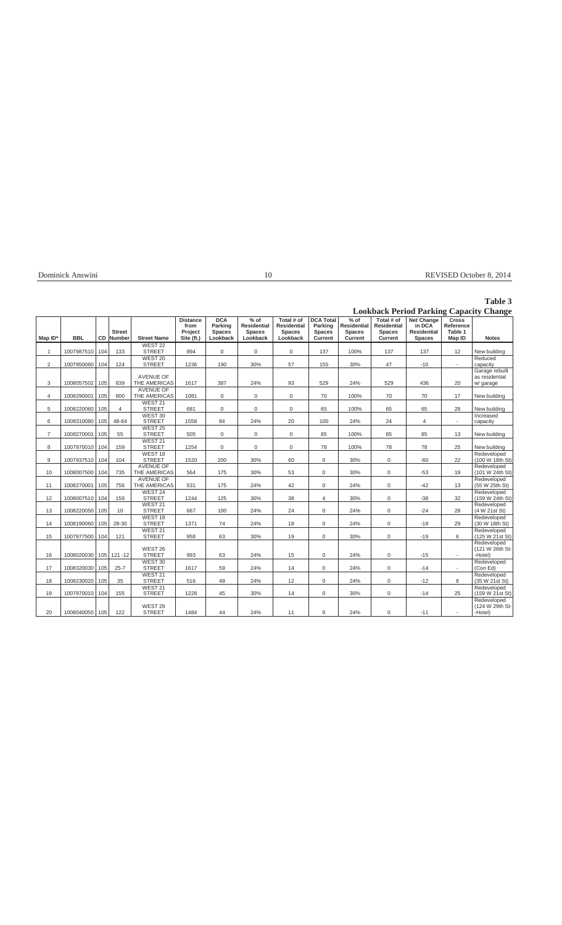| Dominick<br>Answim<br>the contract of the contract of the contract of the contract of the contract of the contract of the contract of | ιv | ാറ<br>ISE<br>October 8<br>кŀ |
|---------------------------------------------------------------------------------------------------------------------------------------|----|------------------------------|
|                                                                                                                                       |    |                              |

## **Table 3**

## **Lookback Period Parking Capacity Change**

|                |            |     |                                |                                     | <b>Distance</b><br>from | <b>DCA</b><br>Parking     | $%$ of<br><b>Residential</b> | Total # of<br><b>Residential</b> | <b>DCA Total</b><br>Parking     | $%$ of<br><b>Residential</b> | Total # of<br><b>Residential</b> | Net Change<br>in DCA                | <b>Cross</b><br>Reference |                                               |
|----------------|------------|-----|--------------------------------|-------------------------------------|-------------------------|---------------------------|------------------------------|----------------------------------|---------------------------------|------------------------------|----------------------------------|-------------------------------------|---------------------------|-----------------------------------------------|
| Map ID*        | <b>BBL</b> | CD  | <b>Street</b><br><b>Number</b> | <b>Street Name</b>                  | Project<br>Site (ft.)   | <b>Spaces</b><br>Lookback | <b>Spaces</b><br>Lookback    | <b>Spaces</b><br>Lookback        | <b>Spaces</b><br><b>Current</b> | <b>Spaces</b><br>Current     | <b>Spaces</b><br>Current         | <b>Residential</b><br><b>Spaces</b> | Table 1<br>Map ID         | <b>Notes</b>                                  |
|                |            |     |                                | WEST <sub>22</sub>                  |                         |                           |                              |                                  |                                 |                              |                                  |                                     |                           |                                               |
| $\mathbf{1}$   | 1007987510 | 104 | 133                            | <b>STREET</b><br>WEST 20            | 894                     | $\mathbf 0$               | $\mathbf 0$                  | $\mathbf 0$                      | 137                             | 100%                         | 137                              | 137                                 | 12                        | New building<br>Reduced                       |
| $\overline{2}$ | 1007950060 | 104 | 124                            | <b>STREET</b>                       | 1236                    | 190                       | 30%                          | 57                               | 155                             | 30%                          | 47                               | $-10$                               | $\blacksquare$            | capacity                                      |
| 3              | 1008057502 | 105 | 839                            | <b>AVENUE OF</b><br>THE AMERICAS    | 1617                    | 387                       | 24%                          | 93                               | 529                             | 24%                          | 529                              | 436                                 | 20                        | Garage rebuilt<br>as residential<br>w/ garage |
|                |            |     |                                | <b>AVENUE OF</b>                    |                         |                           |                              |                                  |                                 |                              |                                  |                                     |                           |                                               |
| 4              | 1008290001 | 105 | 800                            | THE AMERICAS                        | 1081                    | $\mathbf 0$               | 0                            | $\mathbf 0$                      | 70                              | 100%                         | 70                               | 70                                  | 17                        | New building                                  |
| 5              | 1008220060 | 105 | $\overline{4}$                 | WEST 21<br><b>STREET</b>            | 681                     | 0                         | $\mathsf 0$                  | $\mathsf 0$                      | 65                              | 100%                         | 65                               | 65                                  | 28                        | New building                                  |
| 6              | 1008310080 | 105 | 48-64                          | WEST 30<br><b>STREET</b>            | 1558                    | 84                        | 24%                          | 20                               | 100                             | 24%                          | 24                               | $\overline{4}$                      | $\overline{\phantom{a}}$  | Increased<br>capacity                         |
| $\overline{7}$ | 1008270001 | 105 | 55                             | WEST <sub>25</sub><br><b>STREET</b> | 505                     | $\mathbf{0}$              | $\mathsf{O}\xspace$          | $\mathbf 0$                      | 85                              | 100%                         | 85                               | 85                                  | 13                        | New building                                  |
| 8              | 1007970010 | 104 | 159                            | WEST <sub>21</sub><br><b>STREET</b> | 1254                    | $\mathbf 0$               | 0                            | 0                                | 78                              | 100%                         | 78                               | 78                                  | 25                        | New building                                  |
| 9              | 1007937510 | 104 | 104                            | WEST <sub>18</sub><br><b>STREET</b> | 1520                    | 200                       | 30%                          | 60                               | $\mathbf 0$                     | 30%                          | $\mathbf 0$                      | $-60$                               | 22                        | Redeveloped<br>(100 W 18th St)                |
| 10             | 1008007500 | 104 | 735                            | <b>AVENUE OF</b><br>THE AMERICAS    | 564                     | 175                       | 30%                          | 53                               | $\mathbf 0$                     | 30%                          | 0                                | $-53$                               | 19                        | Redeveloped<br>(101 W 24th St)                |
| 11             | 1008270001 | 105 | 756                            | <b>AVENUE OF</b><br>THE AMERICAS    | 531                     | 175                       | 24%                          | 42                               | $\mathbf 0$                     | 24%                          | 0                                | $-42$                               | 13                        | Redeveloped<br>(55 W 25th St)                 |
| 12             | 1008007510 | 104 | 159                            | WEST 24<br><b>STREET</b>            | 1244                    | 125                       | 30%                          | 38                               | $\overline{4}$                  | 30%                          | $\mathbf 0$                      | $-38$                               | 32                        | Redeveloped<br>(159 W 24th St)                |
| 13             | 1008220050 | 105 | 10                             | WEST <sub>21</sub><br><b>STREET</b> | 667                     | 100                       | 24%                          | 24                               | $\mathbf 0$                     | 24%                          | 0                                | $-24$                               | 28                        | Redeveloped<br>(4 W 21st St)                  |
| 14             | 1008190060 | 105 | 28-30                          | WEST <sub>18</sub><br><b>STREET</b> | 1371                    | 74                        | 24%                          | 18                               | $\mathbf 0$                     | 24%                          | $\mathbf 0$                      | $-18$                               | 29                        | Redeveloped<br>(30 W 18th St)                 |
| 15             | 1007977500 | 104 | 121                            | WEST 21<br><b>STREET</b>            | 958                     | 63                        | 30%                          | 19                               | $\mathbf 0$                     | 30%                          | 0                                | $-19$                               | 6                         | Redeveloped<br>(125 W 21st St)                |
| 16             | 1008020030 |     | 105 121 -12                    | WEST 26<br><b>STREET</b>            | 993                     | 63                        | 24%                          | 15                               | $\mathbf 0$                     | 24%                          | 0                                | $-15$                               | $\sim$                    | Redeveloped<br>(121 W 26th St-<br>-Hotel)     |
| 17             | 1008320030 | 105 | $25 - 7$                       | WEST 30<br><b>STREET</b>            | 1617                    | 59                        | 24%                          | 14                               | $\mathbf 0$                     | 24%                          | 0                                | $-14$                               | $\omega$                  | Redeveloped<br>(Con Ed)                       |
| 18             | 1008230020 | 105 | 35                             | WEST 21<br><b>STREET</b>            | 516                     | 49                        | 24%                          | 12                               | $\mathbf 0$                     | 24%                          | 0                                | $-12$                               | 8                         | Redeveloped<br>(35 W 21st St)                 |
| 19             | 1007970010 | 104 | 155                            | WEST 21<br><b>STREET</b>            | 1228                    | 45                        | 30%                          | 14                               | $\mathbf 0$                     | 30%                          | 0                                | $-14$                               | 25                        | Redeveloped<br>(159 W 21st St)                |
| 20             | 1008040050 | 105 | 122                            | WEST 29<br><b>STREET</b>            | 1484                    | 44                        | 24%                          | 11                               | $\mathbf 0$                     | 24%                          | 0                                | $-11$                               |                           | Redeveloped<br>(124 W 29th St-<br>-Hotel)     |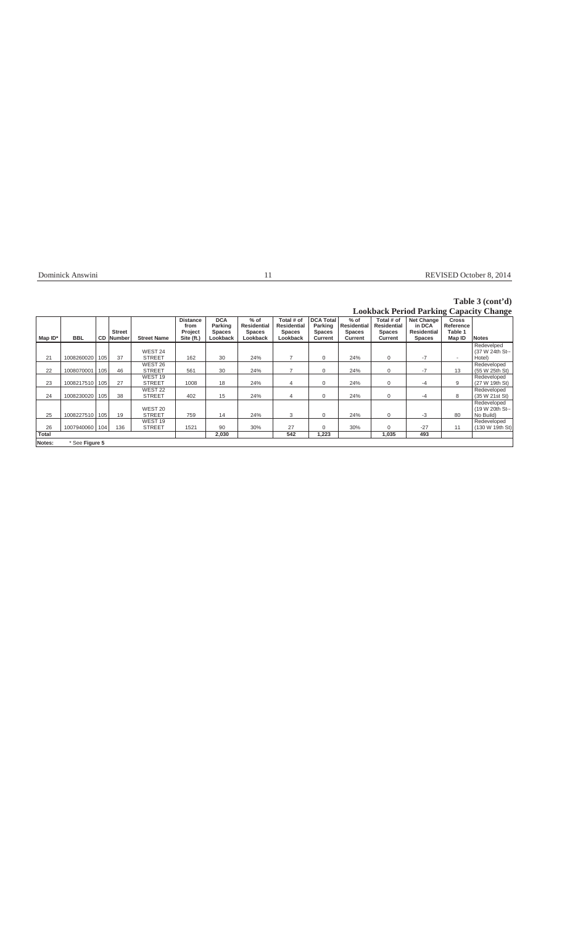Dominick Answini 11 REVISED October 8, 2014

## **Table 3 (cont'd)**

## **Lookback Period Parking Capacity Change**

|              |                |     |                  |                                     |                                    |                                        |                                               |                                                   |                                              |                                 |                                                   |                                                   | $\sim$                               | $\mathbf{\sigma}$                           |
|--------------|----------------|-----|------------------|-------------------------------------|------------------------------------|----------------------------------------|-----------------------------------------------|---------------------------------------------------|----------------------------------------------|---------------------------------|---------------------------------------------------|---------------------------------------------------|--------------------------------------|---------------------------------------------|
|              |                |     | <b>Street</b>    |                                     | <b>Distance</b><br>from<br>Project | <b>DCA</b><br>Parking<br><b>Spaces</b> | $%$ of<br><b>Residential</b><br><b>Spaces</b> | Total # of<br><b>Residential</b><br><b>Spaces</b> | <b>DCA Total</b><br>Parking<br><b>Spaces</b> | $%$ of<br>Residential<br>Spaces | Total # of<br><b>Residential</b><br><b>Spaces</b> | <b>Net Change</b><br>in DCA<br><b>Residential</b> | <b>Cross</b><br>Reference<br>Table 1 |                                             |
| Map ID*      | <b>BBL</b>     |     | <b>CD Number</b> | <b>Street Name</b>                  | Site (ft.)                         | Lookback                               | Lookback                                      | Lookback                                          | Current                                      | Current                         | Current                                           | <b>Spaces</b>                                     | Map ID                               | <b>Notes</b>                                |
| 21           | 1008260020     | 105 | 37               | WEST 24<br>STREET                   | 162                                | 30                                     | 24%                                           |                                                   | 0                                            | 24%                             | 0                                                 | $-7$                                              | $\overline{\phantom{a}}$             | Redevelped<br>(37 W 24th St--<br>Hotel)     |
| 22           | 1008070001     | 105 | 46               | WEST 26<br><b>STREET</b>            | 561                                | 30                                     | 24%                                           |                                                   | $\Omega$                                     | 24%                             | 0                                                 | $-7$                                              | 13                                   | Redeveloped<br>(55 W 25th St)               |
| 23           | 1008217510     | 105 | 27               | WEST <sub>19</sub><br><b>STREET</b> | 1008                               | 18                                     | 24%                                           | 4                                                 | 0                                            | 24%                             | 0                                                 | -4                                                | 9                                    | Redeveloped<br>(27 W 19th St)               |
| 24           | 1008230020     | 105 | 38               | WEST 22<br><b>STREET</b>            | 402                                | 15                                     | 24%                                           | 4                                                 | $\Omega$                                     | 24%                             | 0                                                 | -4                                                | 8                                    | Redeveloped<br>(35 W 21st St)               |
| 25           | 1008227510     | 105 | 19               | WEST 20<br><b>STREET</b>            | 759                                | 14                                     | 24%                                           | 3                                                 | 0                                            | 24%                             | 0                                                 | -3                                                | 80                                   | Redeveloped<br>(19 W 20th St--<br>No Build) |
| 26           | 1007940060 104 |     | 136              | WEST <sub>19</sub><br><b>STREET</b> | 1521                               | 90                                     | 30%                                           | 27                                                | 0                                            | 30%                             | 0                                                 | $-27$                                             | 11                                   | Redeveloped<br>(130 W 19th St)              |
| <b>Total</b> |                |     |                  |                                     |                                    | 2,030                                  |                                               | 542                                               | 1,223                                        |                                 | 1,035                                             | 493                                               |                                      |                                             |
| Notes:       | * See Figure 5 |     |                  |                                     |                                    |                                        |                                               |                                                   |                                              |                                 |                                                   |                                                   |                                      |                                             |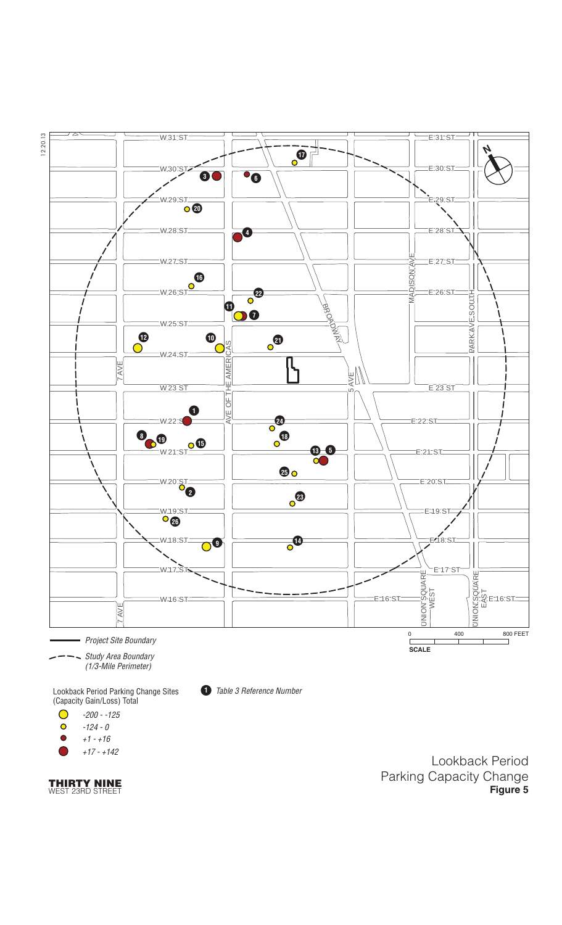

+17 - +142

**THIRTY NINE** WEST 23RD STREET

Lookback Period Parking Capacity Change **Figure 5**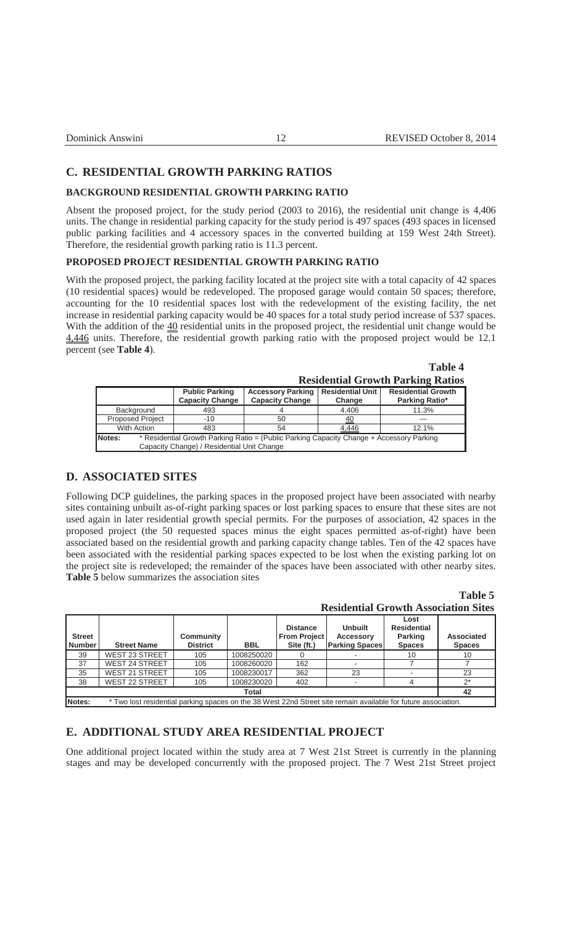**Table 4**

| Dominick Answini |  |  |  |
|------------------|--|--|--|
|                  |  |  |  |

### **C. RESIDENTIAL GROWTH PARKING RATIOS**

#### **BACKGROUND RESIDENTIAL GROWTH PARKING RATIO**

Absent the proposed project, for the study period (2003 to 2016), the residential unit change is 4,406 units. The change in residential parking capacity for the study period is 497 spaces (493 spaces in licensed public parking facilities and 4 accessory spaces in the converted building at 159 West 24th Street). Therefore, the residential growth parking ratio is 11.3 percent.

## **PROPOSED PROJECT RESIDENTIAL GROWTH PARKING RATIO**

With the proposed project, the parking facility located at the project site with a total capacity of 42 spaces (10 residential spaces) would be redeveloped. The proposed garage would contain 50 spaces; therefore, accounting for the 10 residential spaces lost with the redevelopment of the existing facility, the net increase in residential parking capacity would be 40 spaces for a total study period increase of 537 spaces. With the addition of the  $40$  residential units in the proposed project, the residential unit change would be 4,446 units. Therefore, the residential growth parking ratio with the proposed project would be 12.1 percent (see **Table 4**).

|                         |                                                 |                                                                                          |                                   | <b>Residential Growth Parking Ratios</b>    |
|-------------------------|-------------------------------------------------|------------------------------------------------------------------------------------------|-----------------------------------|---------------------------------------------|
|                         | <b>Public Parking</b><br><b>Capacity Change</b> | <b>Accessory Parking</b><br><b>Capacity Change</b>                                       | <b>Residential Unit</b><br>Change | <b>Residential Growth</b><br>Parking Ratio* |
| Background              | 493                                             |                                                                                          | 4.406                             | 11.3%                                       |
| <b>Proposed Project</b> | $-10$                                           | 50                                                                                       | 40                                |                                             |
| With Action             | 483                                             | 54                                                                                       | 4.446                             | 12.1%                                       |
| Notes:                  |                                                 | * Residential Growth Parking Ratio = (Public Parking Capacity Change + Accessory Parking |                                   |                                             |
|                         | Capacity Change) / Residential Unit Change      |                                                                                          |                                   |                                             |

## **D. ASSOCIATED SITES**

Following DCP guidelines, the parking spaces in the proposed project have been associated with nearby sites containing unbuilt as-of-right parking spaces or lost parking spaces to ensure that these sites are not used again in later residential growth special permits. For the purposes of association, 42 spaces in the proposed project (the 50 requested spaces minus the eight spaces permitted as-of-right) have been associated based on the residential growth and parking capacity change tables. Ten of the 42 spaces have been associated with the residential parking spaces expected to be lost when the existing parking lot on the project site is redeveloped; the remainder of the spaces have been associated with other nearby sites. **Table 5** below summarizes the association sites

> **Table 5 Residential Growth Association Sites**

|                           | ACSRETHER OF ON the Ensociation Ditts                                                                          |                              |            |                                                      |                                                             |                                                               |                                    |  |
|---------------------------|----------------------------------------------------------------------------------------------------------------|------------------------------|------------|------------------------------------------------------|-------------------------------------------------------------|---------------------------------------------------------------|------------------------------------|--|
| <b>Street</b><br>l Number | <b>Street Name</b>                                                                                             | Community<br><b>District</b> | <b>BBL</b> | <b>Distance</b><br><b>From Project</b><br>Site (ft.) | <b>Unbuilt</b><br><b>Accessory</b><br><b>Parking Spaces</b> | Lost<br><b>Residential</b><br><b>Parking</b><br><b>Spaces</b> | <b>Associated</b><br><b>Spaces</b> |  |
| 39                        | <b>WEST 23 STREET</b>                                                                                          | 105                          | 1008250020 |                                                      |                                                             | 10                                                            | 10                                 |  |
| 37                        | <b>WEST 24 STREET</b>                                                                                          | 105                          | 1008260020 | 162                                                  |                                                             |                                                               |                                    |  |
| 35                        | <b>WEST 21 STREET</b>                                                                                          | 105                          | 1008230017 | 362                                                  | 23                                                          |                                                               | 23                                 |  |
| 38                        | <b>WEST 22 STREET</b>                                                                                          | 105                          | 1008230020 | 402                                                  |                                                             |                                                               | $2^*$                              |  |
|                           | <b>Total</b><br>42                                                                                             |                              |            |                                                      |                                                             |                                                               |                                    |  |
| Notes:                    | * Two lost residential parking spaces on the 38 West 22nd Street site remain available for future association. |                              |            |                                                      |                                                             |                                                               |                                    |  |

## **E. ADDITIONAL STUDY AREA RESIDENTIAL PROJECT**

One additional project located within the study area at 7 West 21st Street is currently in the planning stages and may be developed concurrently with the proposed project. The 7 West 21st Street project